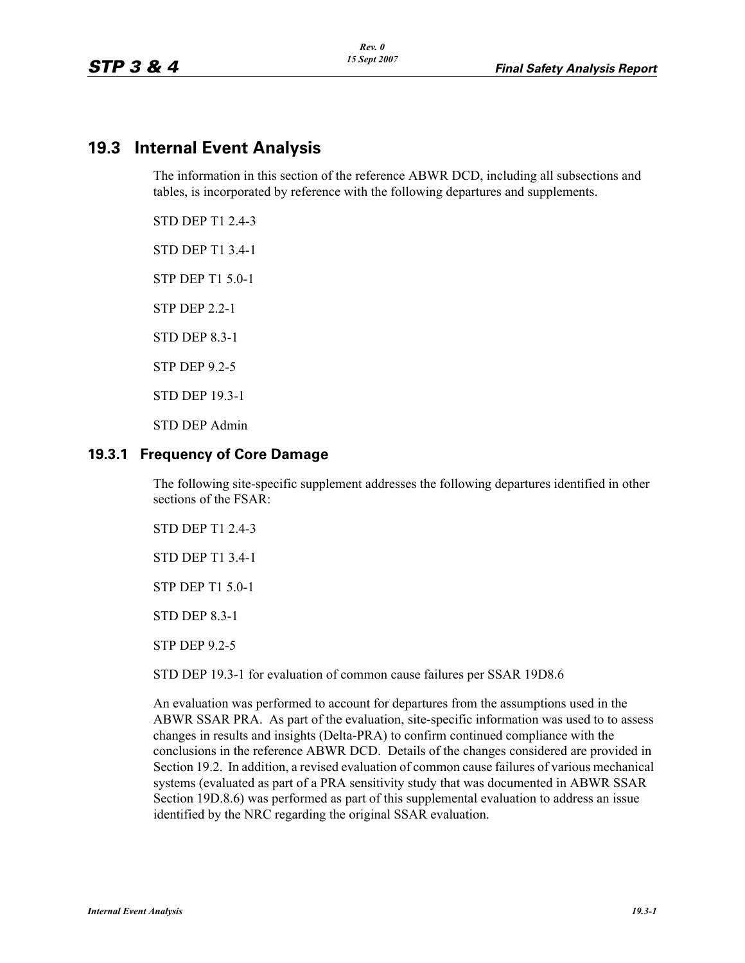# **19.3 Internal Event Analysis**

The information in this section of the reference ABWR DCD, including all subsections and tables, is incorporated by reference with the following departures and supplements.

STD DEP T1 2.4-3

STD DEP T1 3.4-1

STP DEP T1 5.0-1

STP DEP 2.2-1

STD DEP 8.3-1

STP DEP 9.2-5

STD DEP 19.3-1

STD DEP Admin

### **19.3.1 Frequency of Core Damage**

The following site-specific supplement addresses the following departures identified in other sections of the FSAR:

STD DEP T1 2.4-3

STD DEP T1 3.4-1

STP DEP T1 5.0-1

STD DEP 8.3-1

STP DEP 9.2-5

STD DEP 19.3-1 for evaluation of common cause failures per SSAR 19D8.6

An evaluation was performed to account for departures from the assumptions used in the ABWR SSAR PRA. As part of the evaluation, site-specific information was used to to assess changes in results and insights (Delta-PRA) to confirm continued compliance with the conclusions in the reference ABWR DCD. Details of the changes considered are provided in Section 19.2. In addition, a revised evaluation of common cause failures of various mechanical systems (evaluated as part of a PRA sensitivity study that was documented in ABWR SSAR Section 19D.8.6) was performed as part of this supplemental evaluation to address an issue identified by the NRC regarding the original SSAR evaluation.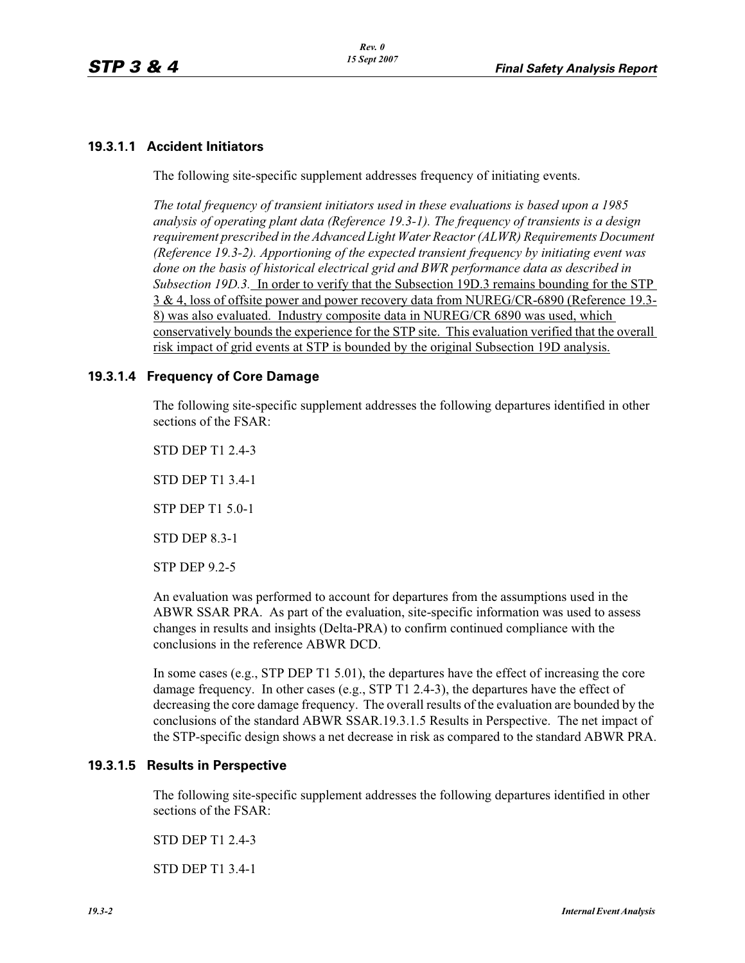# **19.3.1.1 Accident Initiators**

The following site-specific supplement addresses frequency of initiating events.

*The total frequency of transient initiators used in these evaluations is based upon a 1985 analysis of operating plant data (Reference 19.3-1). The frequency of transients is a design requirement prescribed in the Advanced Light Water Reactor (ALWR) Requirements Document (Reference 19.3-2). Apportioning of the expected transient frequency by initiating event was done on the basis of historical electrical grid and BWR performance data as described in Subsection 19D.3.* In order to verify that the Subsection 19D.3 remains bounding for the STP 3 & 4, loss of offsite power and power recovery data from NUREG/CR-6890 (Reference 19.3- 8) was also evaluated. Industry composite data in NUREG/CR 6890 was used, which conservatively bounds the experience for the STP site. This evaluation verified that the overall risk impact of grid events at STP is bounded by the original Subsection 19D analysis.

### **19.3.1.4 Frequency of Core Damage**

The following site-specific supplement addresses the following departures identified in other sections of the FSAR:

STD DEP T1 2.4-3 STD DEP T1 3.4-1

STP DEP T1 5.0-1

STD DEP 8.3-1

STP DEP 9.2-5

An evaluation was performed to account for departures from the assumptions used in the ABWR SSAR PRA. As part of the evaluation, site-specific information was used to assess changes in results and insights (Delta-PRA) to confirm continued compliance with the conclusions in the reference ABWR DCD.

In some cases (e.g., STP DEP T1 5.01), the departures have the effect of increasing the core damage frequency. In other cases (e.g., STP T1 2.4-3), the departures have the effect of decreasing the core damage frequency. The overall results of the evaluation are bounded by the conclusions of the standard ABWR SSAR.19.3.1.5 Results in Perspective. The net impact of the STP-specific design shows a net decrease in risk as compared to the standard ABWR PRA.

# **19.3.1.5 Results in Perspective**

The following site-specific supplement addresses the following departures identified in other sections of the FSAR:

STD DEP T1 2.4-3

STD DEP T1 3.4-1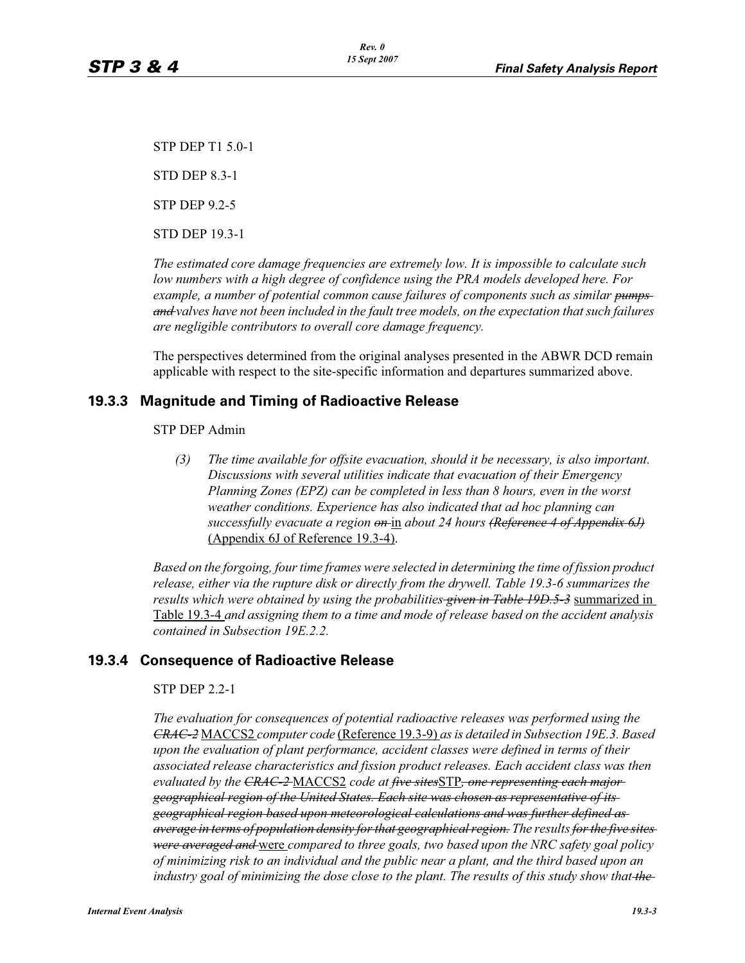STP DEP T1 5.0-1 STD DEP 8.3-1

STP DEP 9.2-5

STD DEP 19.3-1

*The estimated core damage frequencies are extremely low. It is impossible to calculate such low numbers with a high degree of confidence using the PRA models developed here. For*  example, a number of potential common cause failures of components such as similar pumps *and valves have not been included in the fault tree models, on the expectation that such failures are negligible contributors to overall core damage frequency.*

The perspectives determined from the original analyses presented in the ABWR DCD remain applicable with respect to the site-specific information and departures summarized above.

# **19.3.3 Magnitude and Timing of Radioactive Release**

### STP DEP Admin

*(3) The time available for offsite evacuation, should it be necessary, is also important. Discussions with several utilities indicate that evacuation of their Emergency Planning Zones (EPZ) can be completed in less than 8 hours, even in the worst weather conditions. Experience has also indicated that ad hoc planning can successfully evacuate a region on* in *about 24 hours (Reference 4 of Appendix 6J)* (Appendix 6J of Reference 19.3-4).

*Based on the forgoing, four time frames were selected in determining the time of fission product release, either via the rupture disk or directly from the drywell. Table 19.3-6 summarizes the results which were obtained by using the probabilities given in Table 19D.5-3* summarized in Table 19.3-4 *and assigning them to a time and mode of release based on the accident analysis contained in Subsection 19E.2.2.*

# **19.3.4 Consequence of Radioactive Release**

### STP DEP 2.2-1

*The evaluation for consequences of potential radioactive releases was performed using the CRAC-2* MACCS2 *computer code* (Reference 19.3-9) *as is detailed in Subsection 19E.3. Based upon the evaluation of plant performance, accident classes were defined in terms of their associated release characteristics and fission product releases. Each accident class was then evaluated by the CRAC-2* MACCS2 *code at five sites*STP*, one representing each major geographical region of the United States. Each site was chosen as representative of its geographical region based upon meteorological calculations and was further defined as average in terms of population density for that geographical region. The results for the five sites were averaged and* were *compared to three goals, two based upon the NRC safety goal policy of minimizing risk to an individual and the public near a plant, and the third based upon an industry goal of minimizing the dose close to the plant. The results of this study show that the*